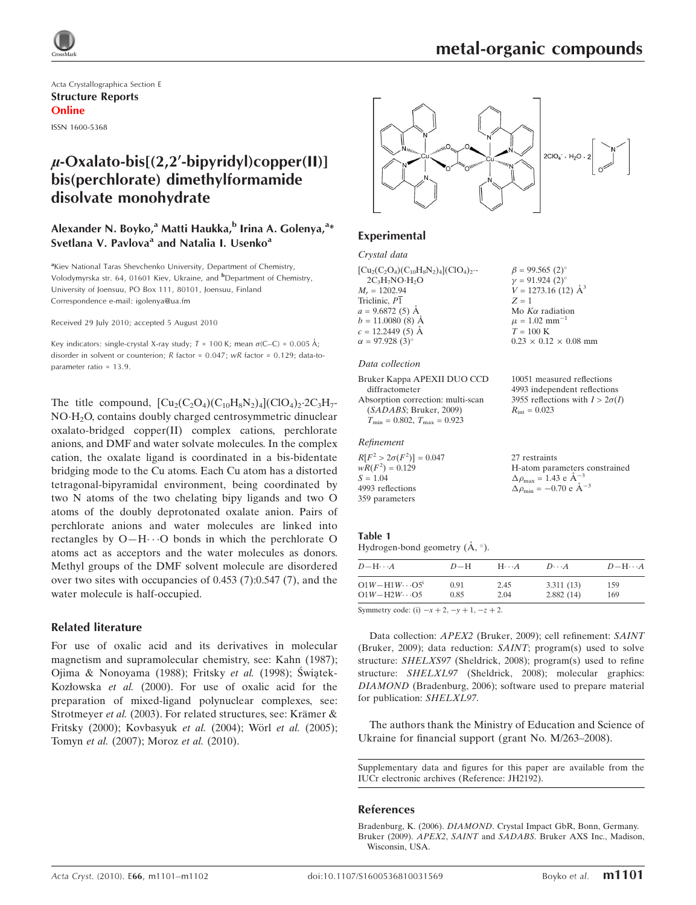

Acta Crystallographica Section E Structure Reports Online ISSN 1600-5368

## $\mu$ -Oxalato-bis[(2,2'-bipyridyl)copper(II)] bis(perchlorate) dimethylformamide disolvate monohydrate

### Alexander N. Boyko,<sup>a</sup> Matti Haukka,<sup>b</sup> Irina A. Golenya,<sup>a</sup>\* Svetlana V. Pavlova<sup>a</sup> and Natalia I. Usenko<sup>a</sup>

<sup>a</sup>Kiev National Taras Shevchenko University, Department of Chemistry, Volodymyrska str. 64, 01601 Kiev, Ukraine, and <sup>b</sup>Department of Chemistry, University of Joensuu, PO Box 111, 80101, Joensuu, Finland Correspondence e-mail: igolenya@ua.fm

Received 29 July 2010; accepted 5 August 2010

Key indicators: single-crystal X-ray study;  $T = 100$  K; mean  $\sigma$ (C–C) = 0.005 Å; disorder in solvent or counterion; R factor = 0.047; wR factor = 0.129; data-toparameter ratio = 13.9.

The title compound,  $[Cu_2(C_2O_4)(C_{10}H_8N_2)_4]$ (ClO<sub>4</sub>)<sub>2</sub>-2C<sub>3</sub>H<sub>7</sub>-NO-H2O, contains doubly charged centrosymmetric dinuclear oxalato-bridged copper(II) complex cations, perchlorate anions, and DMF and water solvate molecules. In the complex cation, the oxalate ligand is coordinated in a bis-bidentate bridging mode to the Cu atoms. Each Cu atom has a distorted tetragonal-bipyramidal environment, being coordinated by two N atoms of the two chelating bipy ligands and two O atoms of the doubly deprotonated oxalate anion. Pairs of perchlorate anions and water molecules are linked into rectangles by  $O-H\cdots O$  bonds in which the perchlorate O atoms act as acceptors and the water molecules as donors. Methyl groups of the DMF solvent molecule are disordered over two sites with occupancies of 0.453 (7):0.547 (7), and the water molecule is half-occupied.

### Related literature

For use of oxalic acid and its derivatives in molecular magnetism and supramolecular chemistry, see: Kahn (1987); Ojima & Nonoyama (1988); Fritsky et al. (1998); Świątek-Kozłowska et al. (2000). For use of oxalic acid for the preparation of mixed-ligand polynuclear complexes, see: Strotmeyer et al. (2003). For related structures, see: Krämer  $\&$ Fritsky (2000); Kovbasyuk et al. (2004); Wörl et al. (2005); Tomyn et al. (2007); Moroz et al. (2010).



### **Experimental**

#### Crystal data

| $[Cu_{2}(C_{2}O_{4})(C_{10}H_{8}N_{2})_{4}](ClO_{4})_{2}$ |
|-----------------------------------------------------------|
| $2C_3H_7NO·H_2O$                                          |
| $M_r = 1202.94$                                           |
| Triclinic, $P\overline{1}$                                |
| $a = 9.6872(5)$ Å                                         |
| $b = 11.0080$ (8) $\AA$                                   |
| $c = 12.2449(5)$ Å                                        |
| $\alpha = 97.928(3)^{\circ}$                              |
|                                                           |

#### Data collection

Bruker Kappa APEXII DUO CCD diffractometer Absorption correction: multi-scan (SADABS; Bruker, 2009)  $T_{\text{min}} = 0.802, T_{\text{max}} = 0.923$ 

### Refinement

 $R[F^2 > 2\sigma(F^2)] = 0.047$  $wR(F^2) = 0.129$  $S = 1.04$ 4993 reflections 359 parameters

| $\gamma = 91.924(2)$              |
|-----------------------------------|
| $V = 1273.16$ (12) $\AA^3$        |
| $Z = 1$                           |
| Mo $K\alpha$ radiation            |
| $\mu = 1.02$ mm <sup>-1</sup>     |
| $T = 100$ K                       |
| $0.23 \times 0.12 \times 0.08$ mm |
|                                   |

 $B = 99.565 (2)$ 

10051 measured reflections 4993 independent reflections 3955 reflections with  $I > 2\sigma(I)$  $R_{\text{int}} = 0.023$ 

27 restraints H-atom parameters constrained  $\Delta \rho_{\text{max}} = 1.43 \text{ e A}^{-3}$  $\Delta \rho_{\text{min}} = -0.70 \text{ e A}^{-3}$ 

#### Table 1 Hydrogen-bond geometry  $(\AA, \degree)$ .

| $D - H \cdots A$        | $D=H$ | $H\cdots A$ | $D\cdots A$ | $D - H \cdots A$ |
|-------------------------|-------|-------------|-------------|------------------|
| $O1W - H1W \cdots O5^1$ | 0.91  | 2.45        | 3.311(13)   | 159              |
| $O1W - H2W \cdots O5$   | 0.85  | 2.04        | 2.882(14)   | 169              |

Symmetry code: (i)  $-x + 2$ ,  $-y + 1$ ,  $-z + 2$ .

Data collection: APEX2 (Bruker, 2009); cell refinement: SAINT (Bruker, 2009); data reduction: SAINT; program(s) used to solve structure: SHELXS97 (Sheldrick, 2008); program(s) used to refine structure: SHELXL97 (Sheldrick, 2008); molecular graphics: DIAMOND (Bradenburg, 2006); software used to prepare material for publication: SHELXL97.

The authors thank the Ministry of Education and Science of Ukraine for financial support (grant No. M/263–2008).

Supplementary data and figures for this paper are available from the IUCr electronic archives (Reference: JH2192).

### References

Bradenburg, K. (2006). DIAMOND[. Crystal Impact GbR, Bonn, Germany.](https://scripts.iucr.org/cgi-bin/cr.cgi?rm=pdfbb&cnor=jh2192&bbid=BB1) Bruker (2009). APEX2, SAINT and SADABS[. Bruker AXS Inc., Madison,](https://scripts.iucr.org/cgi-bin/cr.cgi?rm=pdfbb&cnor=jh2192&bbid=BB7) [Wisconsin, USA.](https://scripts.iucr.org/cgi-bin/cr.cgi?rm=pdfbb&cnor=jh2192&bbid=BB7)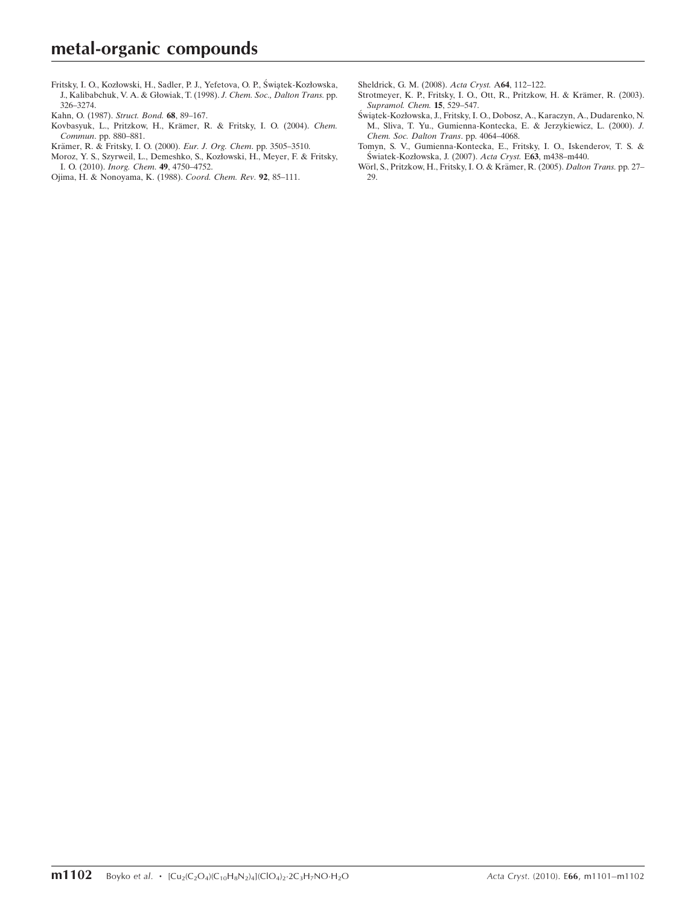Fritsky, I. O., Kozłowski, H., Sadler, P. J., Yefetova, O. P., Świątek-Kozłowska, [J., Kalibabchuk, V. A. & Głowiak, T. \(1998\).](https://scripts.iucr.org/cgi-bin/cr.cgi?rm=pdfbb&cnor=jh2192&bbid=BB2) J. Chem. Soc., Dalton Trans. pp. [326–3274.](https://scripts.iucr.org/cgi-bin/cr.cgi?rm=pdfbb&cnor=jh2192&bbid=BB2)

[Kahn, O. \(1987\).](https://scripts.iucr.org/cgi-bin/cr.cgi?rm=pdfbb&cnor=jh2192&bbid=BB3) Struct. Bond. 68, 89–167.

- Kovbasyuk, L., Pritzkow, H., Krämer, R. & Fritsky, I. O. (2004). Chem. Commun[. pp. 880–881.](https://scripts.iucr.org/cgi-bin/cr.cgi?rm=pdfbb&cnor=jh2192&bbid=BB4)
- Krämer, R. & Fritsky, I. O. (2000). Eur. J. Org. Chem. pp. 3505-3510.
- [Moroz, Y. S., Szyrweil, L., Demeshko, S., Kozłowski, H., Meyer, F. & Fritsky,](https://scripts.iucr.org/cgi-bin/cr.cgi?rm=pdfbb&cnor=jh2192&bbid=BB6) I. O. (2010). [Inorg. Chem](https://scripts.iucr.org/cgi-bin/cr.cgi?rm=pdfbb&cnor=jh2192&bbid=BB6). 49, 4750–4752.
- [Ojima, H. & Nonoyama, K. \(1988\).](https://scripts.iucr.org/cgi-bin/cr.cgi?rm=pdfbb&cnor=jh2192&bbid=BB8) Coord. Chem. Rev. 92, 85–111.
- [Sheldrick, G. M. \(2008\).](https://scripts.iucr.org/cgi-bin/cr.cgi?rm=pdfbb&cnor=jh2192&bbid=BB10) Acta Cryst. A64, 112–122.
- Strotmeyer, K. P., Fritsky, I. O., Ott, R., Pritzkow, H. & Krämer, R. (2003). [Supramol. Chem.](https://scripts.iucr.org/cgi-bin/cr.cgi?rm=pdfbb&cnor=jh2192&bbid=BB11) 15, 529–547.
- Świątek-Kozłowska, J., Fritsky, I. O., Dobosz, A., Karaczyn, A., Dudarenko, N. [M., Sliva, T. Yu., Gumienna-Kontecka, E. & Jerzykiewicz, L. \(2000\).](https://scripts.iucr.org/cgi-bin/cr.cgi?rm=pdfbb&cnor=jh2192&bbid=BB12) J. [Chem. Soc. Dalton Trans](https://scripts.iucr.org/cgi-bin/cr.cgi?rm=pdfbb&cnor=jh2192&bbid=BB12). pp. 4064–4068.
- [Tomyn, S. V., Gumienna-Kontecka, E., Fritsky, I. O., Iskenderov, T. S. &](https://scripts.iucr.org/cgi-bin/cr.cgi?rm=pdfbb&cnor=jh2192&bbid=BB13) Światek-Kozłowska, J. (2007). Acta Cryst. E63, m438-m440.
- Wörl, S., Pritzkow, H., Fritsky, I. O. & Krämer, R. (2005). Dalton Trans. pp. 27– [29.](https://scripts.iucr.org/cgi-bin/cr.cgi?rm=pdfbb&cnor=jh2192&bbid=BB14)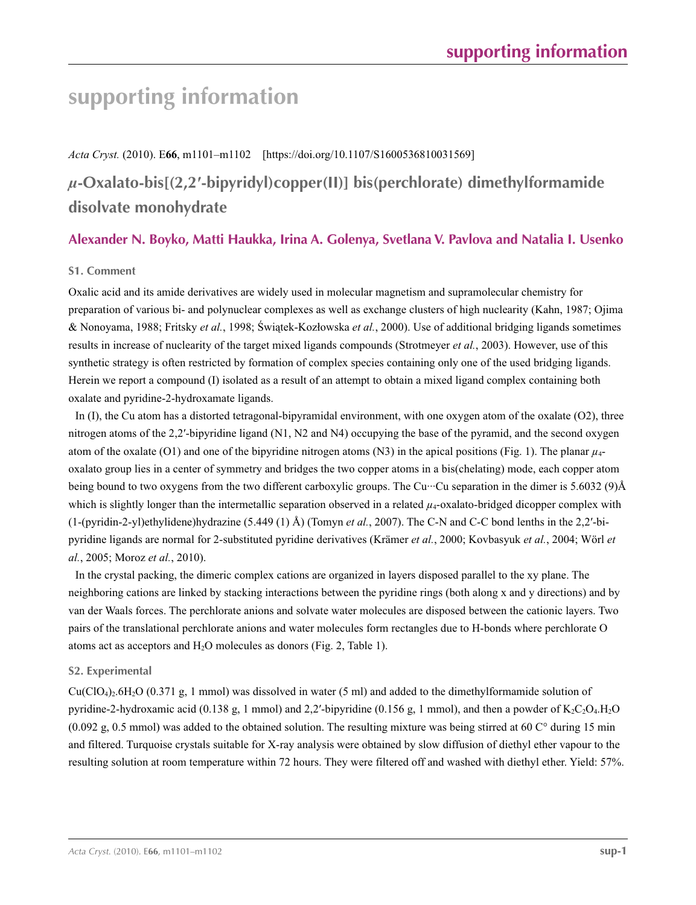## **supporting information**

*Acta Cryst.* (2010). E**66**, m1101–m1102 [https://doi.org/10.1107/S1600536810031569]

## *µ***-Oxalato-bis[(2,2′-bipyridyl)copper(II)] bis(perchlorate) dimethylformamide disolvate monohydrate**

## **Alexander N. Boyko, Matti Haukka, Irina A. Golenya, Svetlana V. Pavlova and Natalia I. Usenko**

### **S1. Comment**

Oxalic acid and its amide derivatives are widely used in molecular magnetism and supramolecular chemistry for preparation of various bi- and polynuclear complexes as well as exchange clusters of high nuclearity (Kahn, 1987; Ojima & Nonoyama, 1988; Fritsky *et al.*, 1998; Świątek-Kozłowska *et al.*, 2000). Use of additional bridging ligands sometimes results in increase of nuclearity of the target mixed ligands compounds (Strotmeyer *et al.*, 2003). However, use of this synthetic strategy is often restricted by formation of complex species containing only one of the used bridging ligands. Herein we report a compound (I) isolated as a result of an attempt to obtain a mixed ligand complex containing both oxalate and pyridine-2-hydroxamate ligands.

In (I), the Cu atom has a distorted tetragonal-bipyramidal environment, with one oxygen atom of the oxalate (O2), three nitrogen atoms of the 2,2′-bipyridine ligand (N1, N2 and N4) occupying the base of the pyramid, and the second oxygen atom of the oxalate (O1) and one of the bipyridine nitrogen atoms (N3) in the apical positions (Fig. 1). The planar *µ*4 oxalato group lies in a center of symmetry and bridges the two copper atoms in a bis(chelating) mode, each copper atom being bound to two oxygens from the two different carboxylic groups. The Cu···Cu separation in the dimer is 5.6032 (9)Å which is slightly longer than the intermetallic separation observed in a related  $\mu_4$ -oxalato-bridged dicopper complex with (1-(pyridin-2-yl)ethylidene)hydrazine (5.449 (1) Å) (Tomyn *et al.*, 2007). The C-N and C-C bond lenths in the 2,2′-bipyridine ligands are normal for 2-substituted pyridine derivatives (Krämer *et al.*, 2000; Kovbasyuk *et al.*, 2004; Wörl *et al.*, 2005; Moroz *et al.*, 2010).

In the crystal packing, the dimeric complex cations are organized in layers disposed parallel to the xy plane. The neighboring cations are linked by stacking interactions between the pyridine rings (both along x and y directions) and by van der Waals forces. The perchlorate anions and solvate water molecules are disposed between the cationic layers. Two pairs of the translational perchlorate anions and water molecules form rectangles due to H-bonds where perchlorate O atoms act as acceptors and  $H_2O$  molecules as donors (Fig. 2, Table 1).

### **S2. Experimental**

Cu(ClO4)2.6H2O (0.371 g, 1 mmol) was dissolved in water (5 ml) and added to the dimethylformamide solution of pyridine-2-hydroxamic acid (0.138 g, 1 mmol) and 2,2′-bipyridine (0.156 g, 1 mmol), and then a powder of  $K_2C_2O_4H_2O$  $(0.092 \text{ g}, 0.5 \text{ mmol})$  was added to the obtained solution. The resulting mixture was being stirred at 60 C° during 15 min and filtered. Turquoise crystals suitable for X-ray analysis were obtained by slow diffusion of diethyl ether vapour to the resulting solution at room temperature within 72 hours. They were filtered off and washed with diethyl ether. Yield: 57%.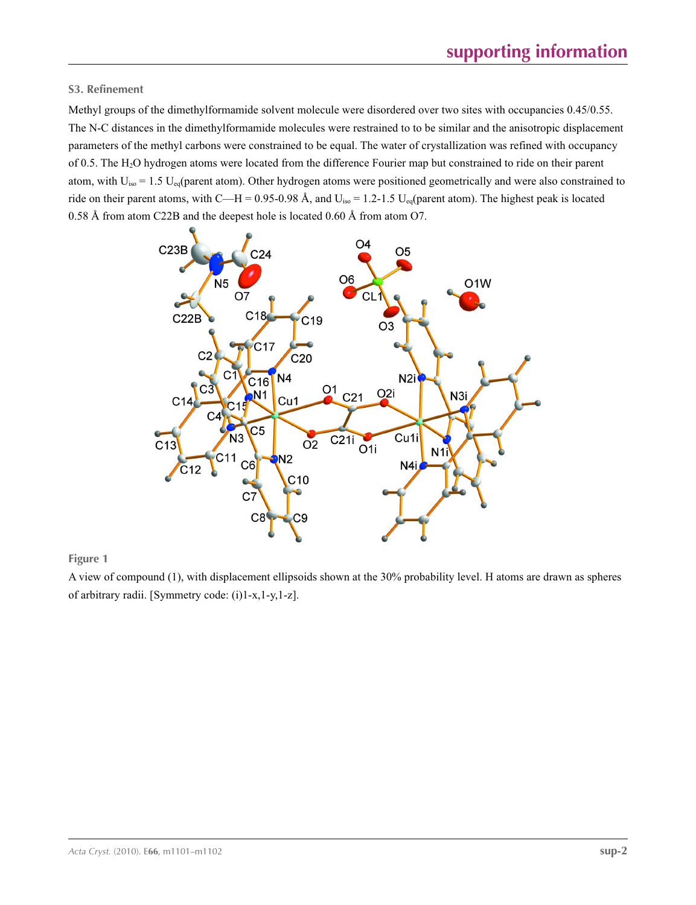### **S3. Refinement**

Methyl groups of the dimethylformamide solvent molecule were disordered over two sites with occupancies 0.45/0.55. The N-C distances in the dimethylformamide molecules were restrained to to be similar and the anisotropic displacement parameters of the methyl carbons were constrained to be equal. The water of crystallization was refined with occupancy of 0.5. The H2O hydrogen atoms were located from the difference Fourier map but constrained to ride on their parent atom, with  $U_{iso} = 1.5 U_{eq}$  (parent atom). Other hydrogen atoms were positioned geometrically and were also constrained to ride on their parent atoms, with C—H = 0.95-0.98 Å, and  $U_{iso} = 1.2{\text -}1.5$   $U_{eq}$ (parent atom). The highest peak is located 0.58 Å from atom C22B and the deepest hole is located 0.60 Å from atom O7.



**Figure 1**

A view of compound (1), with displacement ellipsoids shown at the 30% probability level. H atoms are drawn as spheres of arbitrary radii. [Symmetry code: (i)1-x,1-y,1-z].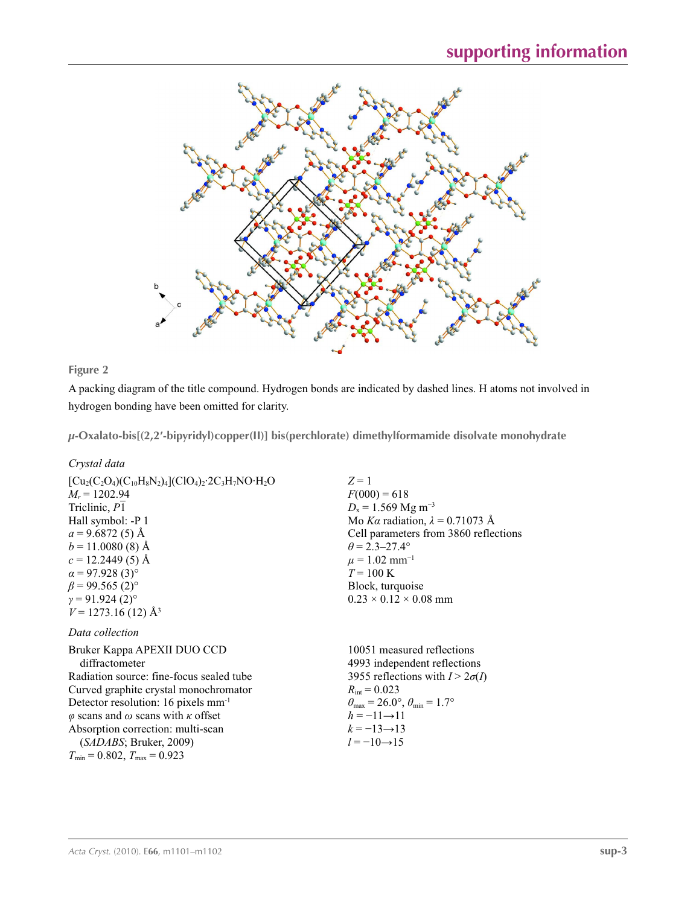



A packing diagram of the title compound. Hydrogen bonds are indicated by dashed lines. H atoms not involved in hydrogen bonding have been omitted for clarity.

*µ***-Oxalato-bis[(2,2′-bipyridyl)copper(II)] bis(perchlorate) dimethylformamide disolvate monohydrate** 

*Crystal data*

| $[Cu_2(C_2O_4)(C_{10}H_8N_2)_4](ClO_4)_2$ : $2C_3H_7NO$ : $H_2O$ | $Z=1$                                  |
|------------------------------------------------------------------|----------------------------------------|
| $M_r = 1202.94$                                                  | $F(000) = 618$                         |
| Triclinic, P1                                                    | $D_x = 1.569$ Mg m <sup>-3</sup>       |
| Hall symbol: -P 1                                                | Mo Ka radiation, $\lambda = 0.71073$ Å |
| $a = 9.6872(5)$ Å                                                | Cell parameters from 3860 reflections  |
| $b = 11.0080(8)$ Å                                               | $\theta = 2.3 - 27.4^{\circ}$          |
| $c = 12.2449(5)$ Å                                               | $\mu = 1.02$ mm <sup>-1</sup>          |
| $\alpha$ = 97.928 (3) <sup>o</sup>                               | $T = 100 \text{ K}$                    |
| $\beta$ = 99.565 (2) <sup>o</sup>                                | Block, turquoise                       |
| $\gamma = 91.924(2)$ °                                           | $0.23 \times 0.12 \times 0.08$ mm      |
| $V = 1273.16(12)$ Å <sup>3</sup>                                 |                                        |
| Data collection                                                  |                                        |
| Bruker Kappa APEXII DUO CCD                                      | 10051 measured reflections             |
| diffractometer                                                   | 4993 independent reflections           |
| Radiation source: fine-focus sealed tube                         | 3955 reflections with $I > 2\sigma(I)$ |
|                                                                  |                                        |

Curved graphite crystal monochromator Detector resolution: 16 pixels mm-1 *φ* scans and *ω* scans with *κ* offset Absorption correction: multi-scan (*SADABS*; Bruker, 2009)  $T_{\text{min}} = 0.802, T_{\text{max}} = 0.923$ 

 $R_{\text{int}} = 0.023$  $\theta_{\text{max}} = 26.0^{\circ}, \theta_{\text{min}} = 1.7^{\circ}$  $h = -11 \rightarrow 11$  $k = -13 \rightarrow 13$ 

 $l = -10 \rightarrow 15$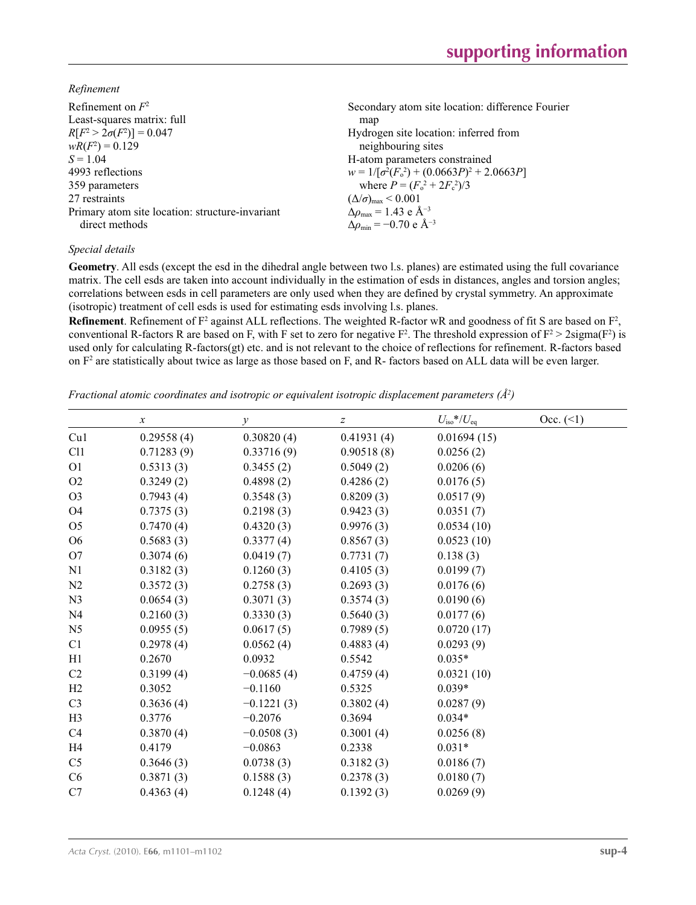*Refinement*

| Refinement on $F^2$                             | Secondary atom site location: difference Fourier             |
|-------------------------------------------------|--------------------------------------------------------------|
| Least-squares matrix: full                      | map                                                          |
| $R[F^2 > 2\sigma(F^2)] = 0.047$                 | Hydrogen site location: inferred from                        |
| $wR(F^2) = 0.129$                               | neighbouring sites                                           |
| $S = 1.04$                                      | H-atom parameters constrained                                |
| 4993 reflections                                | $w = 1/[\sigma^2(F_0^2) + (0.0663P)^2 + 2.0663P]$            |
| 359 parameters                                  | where $P = (F_o^2 + 2F_c^2)/3$                               |
| 27 restraints                                   | $(\Delta/\sigma)_{\text{max}}$ < 0.001                       |
| Primary atom site location: structure-invariant | $\Delta \rho_{\text{max}} = 1.43 \text{ e } \text{\AA}^{-3}$ |
| direct methods                                  | $\Delta \rho_{\rm min} = -0.70 \text{ e A}^{-3}$             |
|                                                 |                                                              |

### *Special details*

**Geometry**. All esds (except the esd in the dihedral angle between two l.s. planes) are estimated using the full covariance matrix. The cell esds are taken into account individually in the estimation of esds in distances, angles and torsion angles; correlations between esds in cell parameters are only used when they are defined by crystal symmetry. An approximate (isotropic) treatment of cell esds is used for estimating esds involving l.s. planes.

**Refinement**. Refinement of  $F^2$  against ALL reflections. The weighted R-factor wR and goodness of fit S are based on  $F^2$ , conventional R-factors R are based on F, with F set to zero for negative  $F^2$ . The threshold expression of  $F^2 > 2 \text{sigma}(F^2)$  is used only for calculating R-factors(gt) etc. and is not relevant to the choice of reflections for refinement. R-factors based on  $F<sup>2</sup>$  are statistically about twice as large as those based on F, and R- factors based on ALL data will be even larger.

*Fractional atomic coordinates and isotropic or equivalent isotropic displacement parameters (Å<sup>2</sup>)* 

|                | $\mathcal{X}$ | $\mathcal{Y}$ | $\boldsymbol{Z}$ | $U_{\rm iso}$ */ $U_{\rm eq}$ | Occ. (2) |
|----------------|---------------|---------------|------------------|-------------------------------|----------|
| Cu1            | 0.29558(4)    | 0.30820(4)    | 0.41931(4)       | 0.01694(15)                   |          |
| C11            | 0.71283(9)    | 0.33716(9)    | 0.90518(8)       | 0.0256(2)                     |          |
| O <sub>1</sub> | 0.5313(3)     | 0.3455(2)     | 0.5049(2)        | 0.0206(6)                     |          |
| O2             | 0.3249(2)     | 0.4898(2)     | 0.4286(2)        | 0.0176(5)                     |          |
| O <sub>3</sub> | 0.7943(4)     | 0.3548(3)     | 0.8209(3)        | 0.0517(9)                     |          |
| O <sub>4</sub> | 0.7375(3)     | 0.2198(3)     | 0.9423(3)        | 0.0351(7)                     |          |
| O <sub>5</sub> | 0.7470(4)     | 0.4320(3)     | 0.9976(3)        | 0.0534(10)                    |          |
| O <sub>6</sub> | 0.5683(3)     | 0.3377(4)     | 0.8567(3)        | 0.0523(10)                    |          |
| O <sub>7</sub> | 0.3074(6)     | 0.0419(7)     | 0.7731(7)        | 0.138(3)                      |          |
| N <sub>1</sub> | 0.3182(3)     | 0.1260(3)     | 0.4105(3)        | 0.0199(7)                     |          |
| N <sub>2</sub> | 0.3572(3)     | 0.2758(3)     | 0.2693(3)        | 0.0176(6)                     |          |
| N <sub>3</sub> | 0.0654(3)     | 0.3071(3)     | 0.3574(3)        | 0.0190(6)                     |          |
| N <sub>4</sub> | 0.2160(3)     | 0.3330(3)     | 0.5640(3)        | 0.0177(6)                     |          |
| N <sub>5</sub> | 0.0955(5)     | 0.0617(5)     | 0.7989(5)        | 0.0720(17)                    |          |
| C1             | 0.2978(4)     | 0.0562(4)     | 0.4883(4)        | 0.0293(9)                     |          |
| H1             | 0.2670        | 0.0932        | 0.5542           | $0.035*$                      |          |
| C <sub>2</sub> | 0.3199(4)     | $-0.0685(4)$  | 0.4759(4)        | 0.0321(10)                    |          |
| H2             | 0.3052        | $-0.1160$     | 0.5325           | $0.039*$                      |          |
| C <sub>3</sub> | 0.3636(4)     | $-0.1221(3)$  | 0.3802(4)        | 0.0287(9)                     |          |
| H <sub>3</sub> | 0.3776        | $-0.2076$     | 0.3694           | $0.034*$                      |          |
| C <sub>4</sub> | 0.3870(4)     | $-0.0508(3)$  | 0.3001(4)        | 0.0256(8)                     |          |
| H <sub>4</sub> | 0.4179        | $-0.0863$     | 0.2338           | $0.031*$                      |          |
| C <sub>5</sub> | 0.3646(3)     | 0.0738(3)     | 0.3182(3)        | 0.0186(7)                     |          |
| C <sub>6</sub> | 0.3871(3)     | 0.1588(3)     | 0.2378(3)        | 0.0180(7)                     |          |
| C7             | 0.4363(4)     | 0.1248(4)     | 0.1392(3)        | 0.0269(9)                     |          |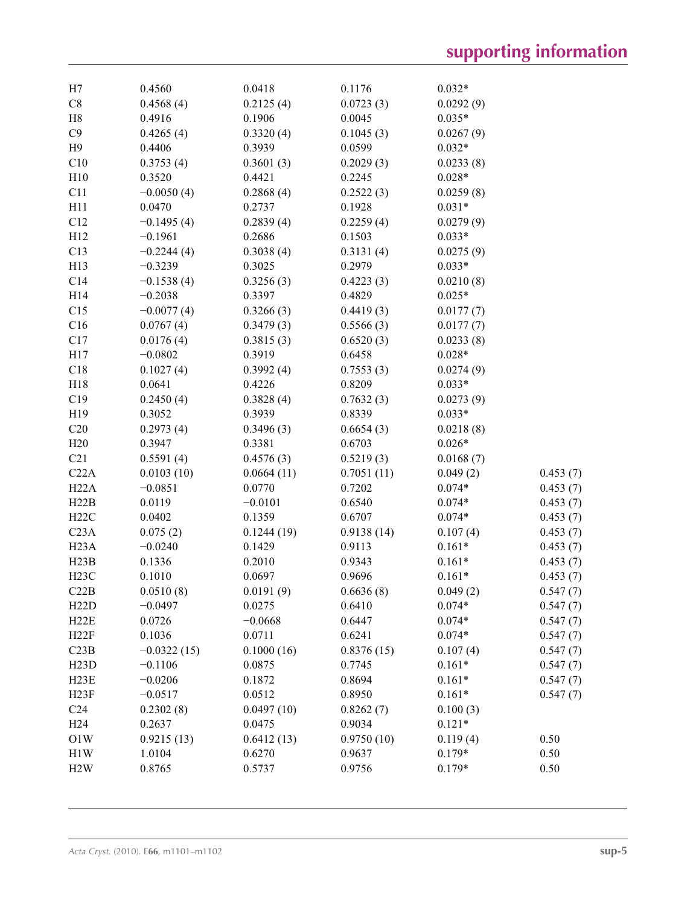| H7                | 0.4560        | 0.0418     | 0.1176     | $0.032*$  |          |
|-------------------|---------------|------------|------------|-----------|----------|
| $\rm{C}8$         | 0.4568(4)     | 0.2125(4)  | 0.0723(3)  | 0.0292(9) |          |
| H8                | 0.4916        | 0.1906     | 0.0045     | $0.035*$  |          |
| C9                | 0.4265(4)     | 0.3320(4)  | 0.1045(3)  | 0.0267(9) |          |
| H9                | 0.4406        | 0.3939     | 0.0599     | $0.032*$  |          |
| C10               | 0.3753(4)     | 0.3601(3)  | 0.2029(3)  | 0.0233(8) |          |
| H10               | 0.3520        | 0.4421     | 0.2245     | $0.028*$  |          |
| C11               | $-0.0050(4)$  | 0.2868(4)  | 0.2522(3)  | 0.0259(8) |          |
| H11               | 0.0470        | 0.2737     | 0.1928     | $0.031*$  |          |
| C12               | $-0.1495(4)$  | 0.2839(4)  | 0.2259(4)  | 0.0279(9) |          |
| H12               | $-0.1961$     | 0.2686     | 0.1503     | $0.033*$  |          |
| C13               | $-0.2244(4)$  | 0.3038(4)  | 0.3131(4)  | 0.0275(9) |          |
| H13               | $-0.3239$     | 0.3025     | 0.2979     | $0.033*$  |          |
| C14               | $-0.1538(4)$  | 0.3256(3)  | 0.4223(3)  | 0.0210(8) |          |
| H14               | $-0.2038$     | 0.3397     | 0.4829     | $0.025*$  |          |
| C15               | $-0.0077(4)$  | 0.3266(3)  | 0.4419(3)  | 0.0177(7) |          |
| C16               | 0.0767(4)     | 0.3479(3)  | 0.5566(3)  | 0.0177(7) |          |
| C17               | 0.0176(4)     | 0.3815(3)  | 0.6520(3)  | 0.0233(8) |          |
| H17               | $-0.0802$     | 0.3919     | 0.6458     | $0.028*$  |          |
| C18               | 0.1027(4)     | 0.3992(4)  | 0.7553(3)  | 0.0274(9) |          |
| H18               | 0.0641        | 0.4226     | 0.8209     | $0.033*$  |          |
| C19               | 0.2450(4)     | 0.3828(4)  | 0.7632(3)  | 0.0273(9) |          |
| H19               | 0.3052        | 0.3939     | 0.8339     | $0.033*$  |          |
| C20               | 0.2973(4)     | 0.3496(3)  | 0.6654(3)  | 0.0218(8) |          |
| H20               | 0.3947        | 0.3381     | 0.6703     | $0.026*$  |          |
| C21               | 0.5591(4)     | 0.4576(3)  | 0.5219(3)  | 0.0168(7) |          |
| C22A              | 0.0103(10)    | 0.0664(11) | 0.7051(11) | 0.049(2)  | 0.453(7) |
| H22A              | $-0.0851$     | 0.0770     | 0.7202     | $0.074*$  | 0.453(7) |
| H22B              | 0.0119        | $-0.0101$  | 0.6540     | $0.074*$  | 0.453(7) |
| H22C              | 0.0402        | 0.1359     | 0.6707     | $0.074*$  | 0.453(7) |
| C <sub>23A</sub>  | 0.075(2)      | 0.1244(19) | 0.9138(14) | 0.107(4)  | 0.453(7) |
| H <sub>23</sub> A | $-0.0240$     | 0.1429     | 0.9113     | $0.161*$  | 0.453(7) |
| H23B              | 0.1336        | 0.2010     | 0.9343     | $0.161*$  | 0.453(7) |
| H23C              | 0.1010        | 0.0697     | 0.9696     | $0.161*$  | 0.453(7) |
| C22B              | 0.0510(8)     | 0.0191(9)  | 0.6636(8)  | 0.049(2)  | 0.547(7) |
| H22D              | $-0.0497$     | 0.0275     | 0.6410     | $0.074*$  | 0.547(7) |
| H22E              | 0.0726        | $-0.0668$  | 0.6447     | $0.074*$  | 0.547(7) |
| H22F              | 0.1036        | 0.0711     | 0.6241     | $0.074*$  | 0.547(7) |
| C23B              | $-0.0322(15)$ | 0.1000(16) | 0.8376(15) | 0.107(4)  | 0.547(7) |
| H23D              | $-0.1106$     | 0.0875     | 0.7745     | $0.161*$  | 0.547(7) |
| H <sub>23</sub> E | $-0.0206$     | 0.1872     | 0.8694     | $0.161*$  | 0.547(7) |
| H23F              | $-0.0517$     | 0.0512     | 0.8950     | $0.161*$  | 0.547(7) |
| C <sub>24</sub>   | 0.2302(8)     | 0.0497(10) | 0.8262(7)  | 0.100(3)  |          |
| H <sub>24</sub>   | 0.2637        | 0.0475     | 0.9034     | $0.121*$  |          |
| O1W               | 0.9215(13)    | 0.6412(13) | 0.9750(10) | 0.119(4)  | 0.50     |
| H1W               | 1.0104        | 0.6270     | 0.9637     | $0.179*$  | 0.50     |
| H2W               | 0.8765        | 0.5737     | 0.9756     | $0.179*$  | 0.50     |
|                   |               |            |            |           |          |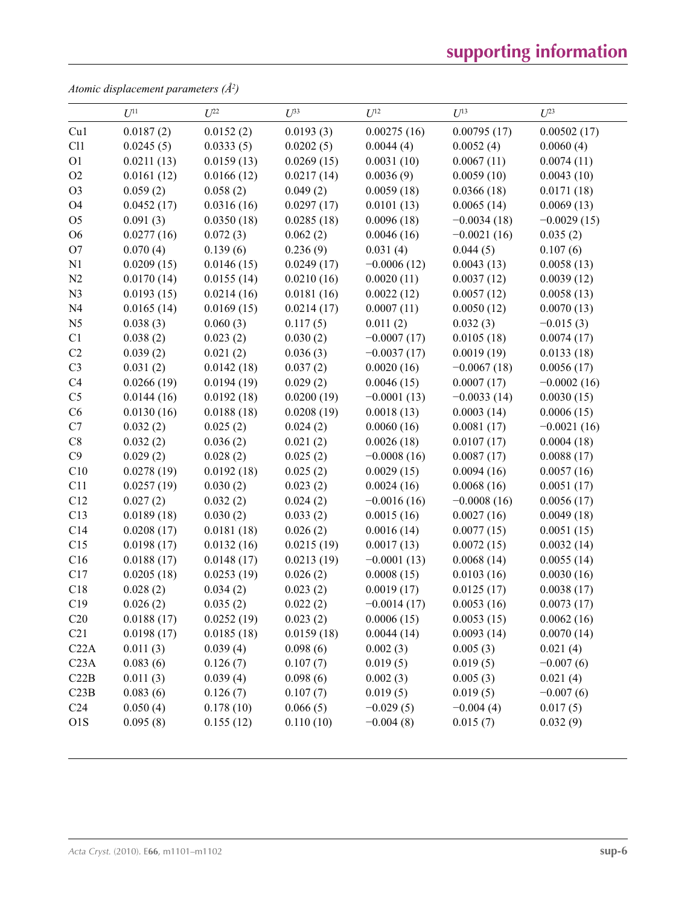# **supporting information**

*Atomic displacement parameters (Å2 )*

|                  | $U^{11}$   | $U^{22}$   | $U^{33}$   | $U^{12}$      | $U^{13}$      | $U^{23}$      |
|------------------|------------|------------|------------|---------------|---------------|---------------|
| Cu1              | 0.0187(2)  | 0.0152(2)  | 0.0193(3)  | 0.00275(16)   | 0.00795(17)   | 0.00502(17)   |
| C11              | 0.0245(5)  | 0.0333(5)  | 0.0202(5)  | 0.0044(4)     | 0.0052(4)     | 0.0060(4)     |
| O <sub>1</sub>   | 0.0211(13) | 0.0159(13) | 0.0269(15) | 0.0031(10)    | 0.0067(11)    | 0.0074(11)    |
| O2               | 0.0161(12) | 0.0166(12) | 0.0217(14) | 0.0036(9)     | 0.0059(10)    | 0.0043(10)    |
| O <sub>3</sub>   | 0.059(2)   | 0.058(2)   | 0.049(2)   | 0.0059(18)    | 0.0366(18)    | 0.0171(18)    |
| O4               | 0.0452(17) | 0.0316(16) | 0.0297(17) | 0.0101(13)    | 0.0065(14)    | 0.0069(13)    |
| O <sub>5</sub>   | 0.091(3)   | 0.0350(18) | 0.0285(18) | 0.0096(18)    | $-0.0034(18)$ | $-0.0029(15)$ |
| O <sub>6</sub>   | 0.0277(16) | 0.072(3)   | 0.062(2)   | 0.0046(16)    | $-0.0021(16)$ | 0.035(2)      |
| O <sub>7</sub>   | 0.070(4)   | 0.139(6)   | 0.236(9)   | 0.031(4)      | 0.044(5)      | 0.107(6)      |
| N1               | 0.0209(15) | 0.0146(15) | 0.0249(17) | $-0.0006(12)$ | 0.0043(13)    | 0.0058(13)    |
| N2               | 0.0170(14) | 0.0155(14) | 0.0210(16) | 0.0020(11)    | 0.0037(12)    | 0.0039(12)    |
| N3               | 0.0193(15) | 0.0214(16) | 0.0181(16) | 0.0022(12)    | 0.0057(12)    | 0.0058(13)    |
| N <sub>4</sub>   | 0.0165(14) | 0.0169(15) | 0.0214(17) | 0.0007(11)    | 0.0050(12)    | 0.0070(13)    |
| N <sub>5</sub>   | 0.038(3)   | 0.060(3)   | 0.117(5)   | 0.011(2)      | 0.032(3)      | $-0.015(3)$   |
| C1               | 0.038(2)   | 0.023(2)   | 0.030(2)   | $-0.0007(17)$ | 0.0105(18)    | 0.0074(17)    |
| C2               | 0.039(2)   | 0.021(2)   | 0.036(3)   | $-0.0037(17)$ | 0.0019(19)    | 0.0133(18)    |
| C <sub>3</sub>   | 0.031(2)   | 0.0142(18) | 0.037(2)   | 0.0020(16)    | $-0.0067(18)$ | 0.0056(17)    |
| C4               | 0.0266(19) | 0.0194(19) | 0.029(2)   | 0.0046(15)    | 0.0007(17)    | $-0.0002(16)$ |
| C <sub>5</sub>   | 0.0144(16) | 0.0192(18) | 0.0200(19) | $-0.0001(13)$ | $-0.0033(14)$ | 0.0030(15)    |
| C6               | 0.0130(16) | 0.0188(18) | 0.0208(19) | 0.0018(13)    | 0.0003(14)    | 0.0006(15)    |
| C7               | 0.032(2)   | 0.025(2)   | 0.024(2)   | 0.0060(16)    | 0.0081(17)    | $-0.0021(16)$ |
| C8               | 0.032(2)   | 0.036(2)   | 0.021(2)   | 0.0026(18)    | 0.0107(17)    | 0.0004(18)    |
| C9               | 0.029(2)   | 0.028(2)   | 0.025(2)   | $-0.0008(16)$ | 0.0087(17)    | 0.0088(17)    |
| C10              | 0.0278(19) | 0.0192(18) | 0.025(2)   | 0.0029(15)    | 0.0094(16)    | 0.0057(16)    |
| C11              | 0.0257(19) | 0.030(2)   | 0.023(2)   | 0.0024(16)    | 0.0068(16)    | 0.0051(17)    |
| C12              | 0.027(2)   | 0.032(2)   | 0.024(2)   | $-0.0016(16)$ | $-0.0008(16)$ | 0.0056(17)    |
| C13              | 0.0189(18) | 0.030(2)   | 0.033(2)   | 0.0015(16)    | 0.0027(16)    | 0.0049(18)    |
| C14              | 0.0208(17) | 0.0181(18) | 0.026(2)   | 0.0016(14)    | 0.0077(15)    | 0.0051(15)    |
| C15              | 0.0198(17) | 0.0132(16) | 0.0215(19) | 0.0017(13)    | 0.0072(15)    | 0.0032(14)    |
| C16              | 0.0188(17) | 0.0148(17) | 0.0213(19) | $-0.0001(13)$ | 0.0068(14)    | 0.0055(14)    |
| C17              | 0.0205(18) | 0.0253(19) | 0.026(2)   | 0.0008(15)    | 0.0103(16)    | 0.0030(16)    |
| C18              | 0.028(2)   | 0.034(2)   | 0.023(2)   | 0.0019(17)    | 0.0125(17)    | 0.0038(17)    |
| C19              | 0.026(2)   | 0.035(2)   | 0.022(2)   | $-0.0014(17)$ | 0.0053(16)    | 0.0073(17)    |
| C20              | 0.0188(17) | 0.0252(19) | 0.023(2)   | 0.0006(15)    | 0.0053(15)    | 0.0062(16)    |
| C21              | 0.0198(17) | 0.0185(18) | 0.0159(18) | 0.0044(14)    | 0.0093(14)    | 0.0070(14)    |
| C22A             | 0.011(3)   | 0.039(4)   | 0.098(6)   | 0.002(3)      | 0.005(3)      | 0.021(4)      |
| C <sub>23A</sub> | 0.083(6)   | 0.126(7)   | 0.107(7)   | 0.019(5)      | 0.019(5)      | $-0.007(6)$   |
| C22B             | 0.011(3)   | 0.039(4)   | 0.098(6)   | 0.002(3)      | 0.005(3)      | 0.021(4)      |
| C23B             | 0.083(6)   | 0.126(7)   | 0.107(7)   | 0.019(5)      | 0.019(5)      | $-0.007(6)$   |
| C <sub>24</sub>  | 0.050(4)   | 0.178(10)  | 0.066(5)   | $-0.029(5)$   | $-0.004(4)$   | 0.017(5)      |
| O1S              | 0.095(8)   | 0.155(12)  | 0.110(10)  | $-0.004(8)$   | 0.015(7)      | 0.032(9)      |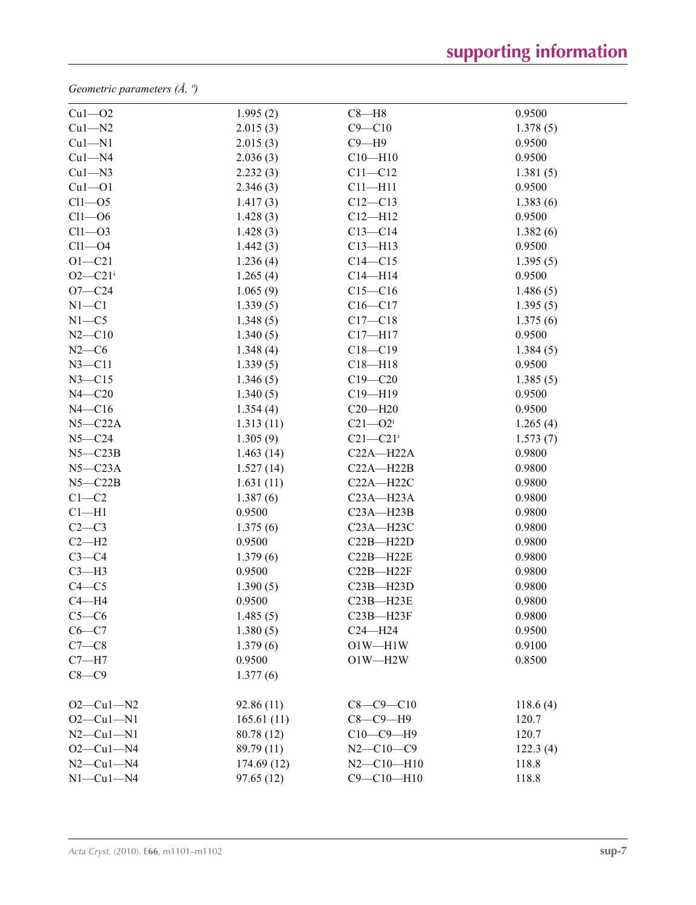*Geometric parameters (Å, º)*

| $Cu1 - O2$              | 1.995(2)    | $C8 - H8$                | 0.9500   |
|-------------------------|-------------|--------------------------|----------|
| $Cu1 - N2$              | 2.015(3)    | $C9 - C10$               | 1.378(5) |
| $Cu1 - N1$              | 2.015(3)    | $C9 - H9$                | 0.9500   |
| $Cu1 - N4$              | 2.036(3)    | $C10 - H10$              | 0.9500   |
| $Cu1 - N3$              | 2.232(3)    | $C11 - C12$              | 1.381(5) |
| $Cu1 - O1$              | 2.346(3)    | $C11 - H11$              | 0.9500   |
| $Cl1 - O5$              | 1.417(3)    | $C12 - C13$              | 1.383(6) |
| $Cl1 - O6$              | 1.428(3)    | $C12 - H12$              | 0.9500   |
| $Cl1 - O3$              | 1.428(3)    | $C13-C14$                | 1.382(6) |
| $Cl1 - O4$              | 1.442(3)    | $C13 - H13$              | 0.9500   |
| $O1 - C21$              | 1.236(4)    | $C14 - C15$              | 1.395(5) |
| $O2 - C21$ <sup>i</sup> | 1.265(4)    | $C14 - H14$              | 0.9500   |
| $O7 - C24$              | 1.065(9)    | $C15 - C16$              | 1.486(5) |
| $N1 - C1$               | 1.339(5)    | $C16 - C17$              | 1.395(5) |
| $N1 - C5$               | 1.348(5)    | $C17 - C18$              | 1.375(6) |
| $N2 - C10$              | 1.340(5)    | $C17 - H17$              | 0.9500   |
| $N2-C6$                 | 1.348(4)    | $C18 - C19$              | 1.384(5) |
| $N3 - C11$              | 1.339(5)    | $C18 - H18$              | 0.9500   |
| $N3 - C15$              | 1.346(5)    | $C19 - C20$              | 1.385(5) |
| $N4 - C20$              | 1.340(5)    | $C19 - H19$              | 0.9500   |
| $N4 - C16$              | 1.354(4)    | $C20 - H20$              | 0.9500   |
| $N5 - C22A$             | 1.313(11)   | $C21 - O2i$              | 1.265(4) |
| $N5 - C24$              | 1.305(9)    | $C21 - C21$ <sup>i</sup> | 1.573(7) |
| $N5 - C23B$             | 1.463(14)   | $C22A - H22A$            | 0.9800   |
| $N5 - C23A$             | 1.527(14)   | $C22A - H22B$            | 0.9800   |
| $N5 - C22B$             | 1.631(11)   | $C22A - H22C$            | 0.9800   |
| $C1 - C2$               | 1.387(6)    | $C23A - H23A$            | 0.9800   |
| $Cl-H1$                 | 0.9500      | $C23A - H23B$            | 0.9800   |
| $C2-C3$                 | 1.375(6)    | $C23A - H23C$            | 0.9800   |
| $C2-H2$                 | 0.9500      | $C22B - H22D$            | 0.9800   |
| $C3-C4$                 | 1.379(6)    | $C22B - H22E$            | 0.9800   |
| $C3-H3$                 | 0.9500      | $C22B - H22F$            | 0.9800   |
| $C4 - C5$               | 1.390(5)    | $C23B - H23D$            | 0.9800   |
| $C4 - H4$               | 0.9500      | $C23B - H23E$            | 0.9800   |
| $C5-C6$                 | 1.485(5)    | $C23B - H23F$            | 0.9800   |
| $C6 - C7$               | 1.380(5)    | $C24 - H24$              | 0.9500   |
| $C7-C8$                 | 1.379(6)    | $O1W - H1W$              | 0.9100   |
| $C7 - H7$               | 0.9500      | $O1W - H2W$              | 0.8500   |
| $C8-C9$                 | 1.377(6)    |                          |          |
| $O2 - Cu1 - N2$         | 92.86(11)   | $C8 - C9 - C10$          | 118.6(4) |
| $O2 - Cu1 - N1$         | 165.61(11)  | $C8-C9-H9$               | 120.7    |
| $N2$ — $Cu1$ — $N1$     | 80.78 (12)  | $C10-C9-H9$              | 120.7    |
| $O2-Cu1-N4$             | 89.79 (11)  | $N2 - C10 - C9$          | 122.3(4) |
| $N2$ —Cu1—N4            | 174.69 (12) | $N2 - C10 - H10$         | 118.8    |
| $N1-Cu1-N4$             | 97.65(12)   | $C9 - C10 - H10$         | 118.8    |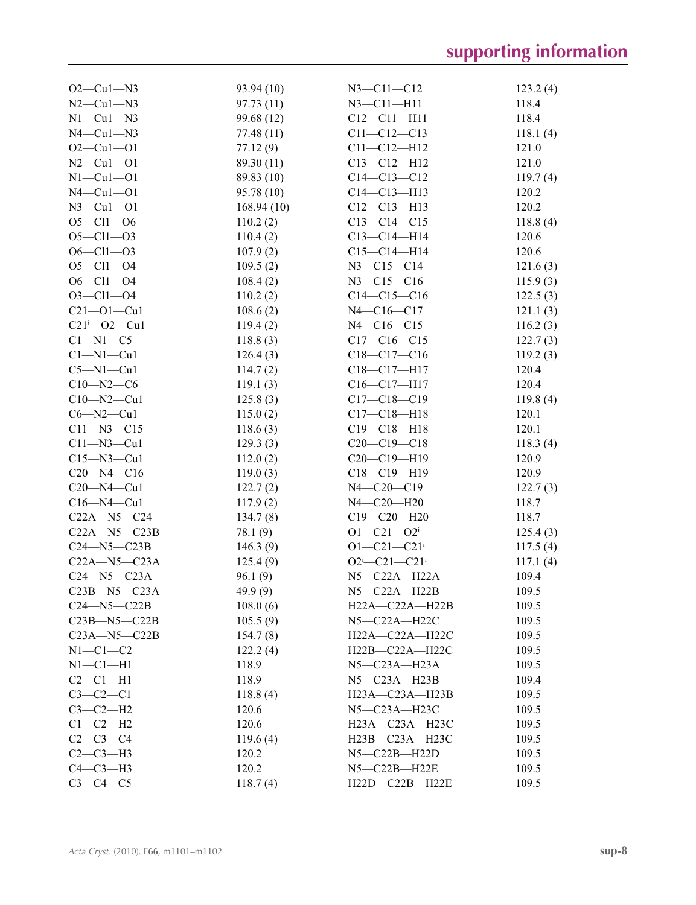| $O2$ —Cu $1$ —N3     | 93.94 (10) | $N3 - C11 - C12$               | 123.2(4) |
|----------------------|------------|--------------------------------|----------|
| $N2$ — $Cu1$ — $N3$  | 97.73(11)  | $N3 - C11 - H11$               | 118.4    |
| $N1-Cu1-N3$          | 99.68 (12) | $C12 - C11 - H11$              | 118.4    |
| $N4$ — $Cu1$ — $N3$  | 77.48(11)  | $C11 - C12 - C13$              | 118.1(4) |
| $O2-Cu1-O1$          | 77.12(9)   | $C11 - C12 - H12$              | 121.0    |
| $N2 - Cu1 - O1$      | 89.30 (11) | $C13 - C12 - H12$              | 121.0    |
| $N1-Cu1-O1$          | 89.83 (10) | $C14-C13-C12$                  | 119.7(4) |
| $N4$ -Cul-Ol         | 95.78 (10) | $C14 - C13 - H13$              | 120.2    |
| $N3$ –Cul–Ol         | 168.94(10) | $C12-C13-H13$                  | 120.2    |
| $O5 - Cl1 - O6$      | 110.2(2)   | $C13-C14-C15$                  | 118.8(4) |
| $O5 - Cl1 - O3$      | 110.4(2)   | $C13 - C14 - H14$              | 120.6    |
| $O6 - Cl1 - O3$      | 107.9(2)   | $C15-C14-H14$                  | 120.6    |
| $O5 - Cl1 - O4$      | 109.5(2)   | $N3 - C15 - C14$               | 121.6(3) |
| $O6 - Cl1 - O4$      | 108.4(2)   | $N3 - C15 - C16$               | 115.9(3) |
| $O3 - Cl1 - O4$      | 110.2(2)   | $C14-C15-C16$                  | 122.5(3) |
| $C21 - 01 - Cu1$     | 108.6(2)   | $N4 - C16 - C17$               | 121.1(3) |
| $C21^{i} - 02 - Cu1$ | 119.4(2)   | $N4 - C16 - C15$               | 116.2(3) |
| $C1 - N1 - C5$       | 118.8(3)   | $C17-C16-C15$                  | 122.7(3) |
| $Cl-M1-Cu1$          | 126.4(3)   | $C18-C17-C16$                  | 119.2(3) |
| $C5 - N1 - Cu1$      | 114.7(2)   | $C18-C17-H17$                  | 120.4    |
| $C10 - N2 - C6$      | 119.1(3)   | $C16-C17-H17$                  | 120.4    |
| $C10 - N2 - Cu1$     | 125.8(3)   | $C17 - C18 - C19$              | 119.8(4) |
| $C6 - N2 - Cu1$      | 115.0(2)   | $C17 - C18 - H18$              | 120.1    |
| $C11 - N3 - C15$     | 118.6(3)   | $C19 - C18 - H18$              | 120.1    |
| $C11 - N3 - Cu1$     | 129.3(3)   | $C20-C19-C18$                  | 118.3(4) |
| $C15 - N3 - Cu1$     | 112.0(2)   | C20-C19-H19                    | 120.9    |
| $C20 - N4 - C16$     | 119.0(3)   | C18-C19-H19                    | 120.9    |
| $C20 - N4 - Cu1$     | 122.7(2)   | $N4 - C20 - C19$               | 122.7(3) |
| $C16 - N4 - Cu1$     | 117.9(2)   | N4-C20-H20                     | 118.7    |
| $C22A - N5 - C24$    | 134.7(8)   | $C19 - C20 - H20$              | 118.7    |
| $C22A - N5 - C23B$   | 78.1 (9)   | $O1 - C21 - O2$ <sup>i</sup>   | 125.4(3) |
| $C24 - N5 - C23B$    | 146.3(9)   | $O1 - C21 - C21$ <sup>i</sup>  | 117.5(4) |
| $C22A - N5 - C23A$   | 125.4(9)   | $O2^{i}$ -C21-C21 <sup>i</sup> | 117.1(4) |
| $C24 - N5 - C23A$    | 96.1(9)    | N5-C22A-H22A                   | 109.4    |
| $C23B - N5 - C23A$   | 49.9(9)    | $N5-C22A-H22B$                 | 109.5    |
| $C24$ —N5— $C22B$    | 108.0(6)   | H22A-C22A-H22B                 | 109.5    |
| $C23B - N5 - C22B$   | 105.5(9)   | $N5-C22A-H22C$                 | 109.5    |
| $C23A - N5 - C22B$   | 154.7(8)   | $H22A - C22A - H22C$           | 109.5    |
| $N1-C1-C2$           | 122.2(4)   | $H22B-C22A-H22C$               | 109.5    |
| $N1-C1-H1$           | 118.9      | $N5-C23A-H23A$                 | 109.5    |
| $C2-C1-H1$           | 118.9      | $N5 - C23A - H23B$             | 109.4    |
| $C3-C2-C1$           | 118.8(4)   | H23A-C23A-H23B                 | 109.5    |
| $C3-C2-H2$           | 120.6      | $N5-C23A-H23C$                 | 109.5    |
| $C1-C2-H2$           | 120.6      | H23A-C23A-H23C                 | 109.5    |
| $C2 - C3 - C4$       | 119.6(4)   | H23B-C23A-H23C                 | 109.5    |
| $C2-C3-H3$           | 120.2      | $N5-C22B-H22D$                 | 109.5    |
| $C4-C3-H3$           | 120.2      | $N5 - C22B - H22E$             | 109.5    |
|                      |            |                                |          |
| $C3-C4-C5$           | 118.7(4)   | H22D-C22B-H22E                 | 109.5    |